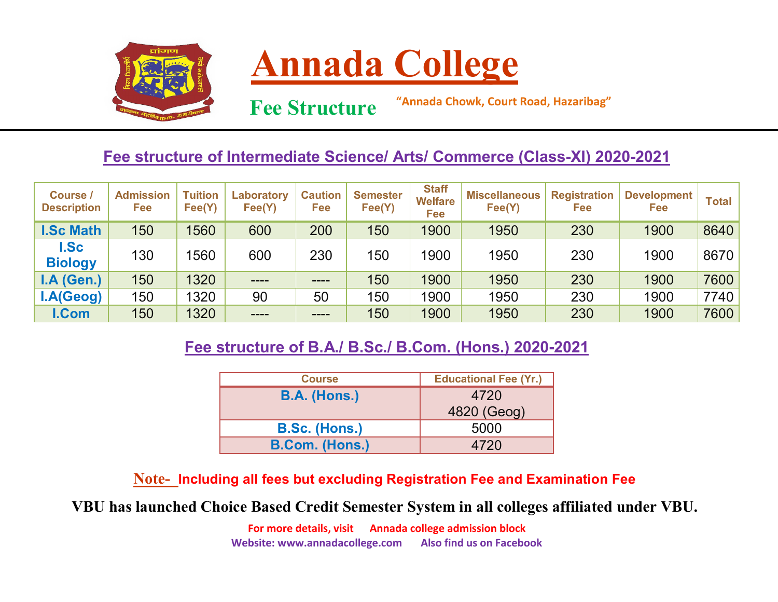



 **Fee Structure**

**"Annada Chowk, Court Road, Hazaribag"**

## **Fee structure of Intermediate Science/ Arts/ Commerce (Class-XI) 2020-2021**

| <b>Course /</b><br><b>Description</b> | <b>Admission</b><br>Fee | <b>Tuition</b><br>Fee(Y) | Laboratory<br>Fee(Y) | <b>Caution</b><br>Fee | <b>Semester</b><br>Fee(Y) | <b>Staff</b><br><b>Welfare</b><br>Fee | <b>Miscellaneous</b><br>Fee(Y) | <b>Registration</b><br>Fee | <b>Development</b><br><b>Fee</b> | Total |
|---------------------------------------|-------------------------|--------------------------|----------------------|-----------------------|---------------------------|---------------------------------------|--------------------------------|----------------------------|----------------------------------|-------|
| <b>I.Sc Math</b>                      | 150                     | 1560                     | 600                  | 200                   | 150                       | 1900                                  | 1950                           | 230                        | 1900                             | 8640  |
| <b>I.Sc</b><br><b>Biology</b>         | 130                     | 1560                     | 600                  | 230                   | 150                       | 1900                                  | 1950                           | 230                        | 1900                             | 8670  |
| I.A(Gen.)                             | 150                     | 1320                     | $- - - -$            | ----                  | 150                       | 1900                                  | 1950                           | 230                        | 1900                             | 7600  |
| I.A(Geog)                             | 150                     | 1320                     | 90                   | 50                    | 150                       | 1900                                  | 1950                           | 230                        | 1900                             | 7740  |
| I.Com                                 | 150                     | 1320                     | ----                 | ----                  | 150                       | 1900                                  | 1950                           | 230                        | 1900                             | 7600  |

## **Fee structure of B.A./ B.Sc./ B.Com. (Hons.) 2020-2021**

| <b>Course</b>         | <b>Educational Fee (Yr.)</b> |
|-----------------------|------------------------------|
| <b>B.A. (Hons.)</b>   | 4720                         |
|                       | 4820 (Geog)                  |
| <b>B.Sc. (Hons.)</b>  | 5000                         |
| <b>B.Com. (Hons.)</b> | 4720                         |

**Note- Including all fees but excluding Registration Fee and Examination Fee**

**VBU has launched Choice Based Credit Semester System in all colleges affiliated under VBU.**

**For more details, visit Annada college admission block Website: www.annadacollege.com Also find us on Facebook**